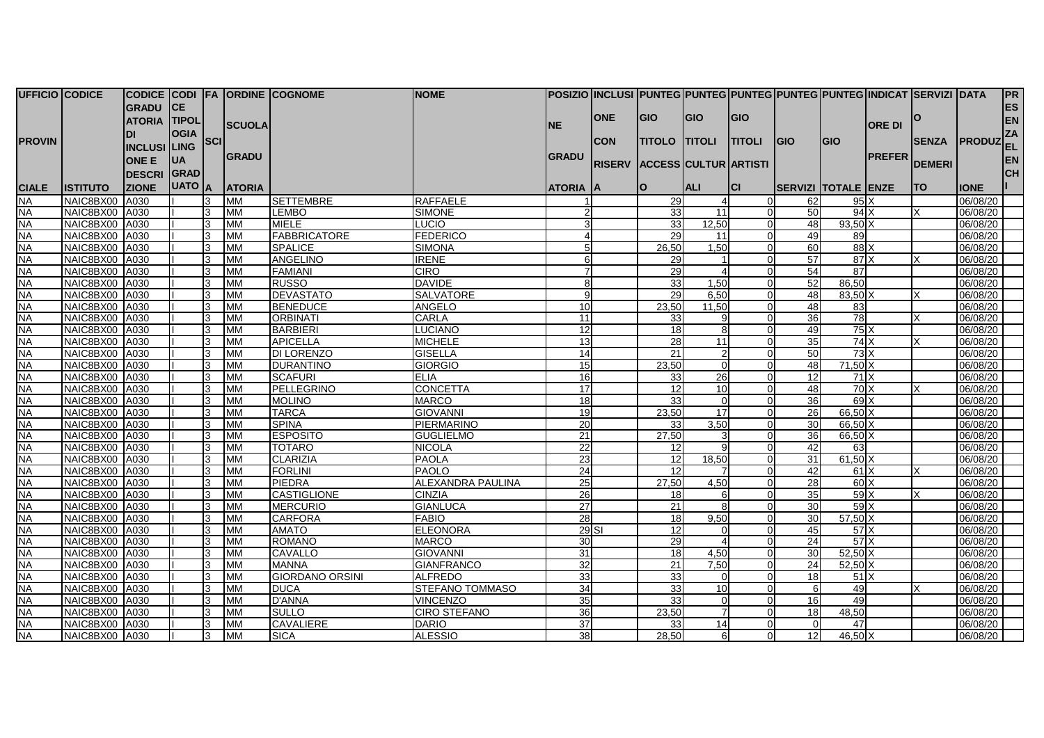| <b>UFFICIO CODICE</b> |                 |                     |               |     |                          | CODICE CODI FA ORDINE COGNOME | <b>NOME</b>         |                  |            |                                     |                       | POSIZIO  INCLUSI  PUNTEG PUNTEG PUNTEG PUNTEG PUNTEG INDICAT  SERVIZI  DATA |                            |            |               |               |                 | <b>PR</b> |
|-----------------------|-----------------|---------------------|---------------|-----|--------------------------|-------------------------------|---------------------|------------------|------------|-------------------------------------|-----------------------|-----------------------------------------------------------------------------|----------------------------|------------|---------------|---------------|-----------------|-----------|
|                       |                 | <b>GRADU</b>        | CE            |     |                          |                               |                     |                  |            |                                     |                       |                                                                             |                            |            |               |               |                 | <b>ES</b> |
|                       |                 | <b>ATORIA TIPOL</b> |               |     |                          |                               |                     |                  | <b>ONE</b> | <b>GIO</b>                          | <b>GIO</b>            | GIO                                                                         |                            |            |               |               |                 | <b>EN</b> |
|                       |                 |                     | <b>OGIA</b>   |     | <b>SCUOLA</b>            |                               |                     | <b>NE</b>        |            |                                     |                       |                                                                             |                            |            | <b>ORE DI</b> |               |                 | ZA        |
| <b>PROVIN</b>         |                 | <b>INCLUSI</b> LING |               | SCI |                          |                               |                     |                  | <b>CON</b> | <b>TITOLO TITOLI</b>                |                       | <b>TITOLI</b>                                                               | <b>IGIO</b>                | <b>GIO</b> |               | <b>SENZA</b>  | <b>PRODUZEL</b> |           |
|                       |                 |                     |               |     | <b>GRADU</b>             |                               |                     | <b>GRADU</b>     |            |                                     |                       |                                                                             |                            |            | <b>PREFER</b> |               |                 |           |
|                       |                 | <b>ONE E</b>        | <b>IUA</b>    |     |                          |                               |                     |                  |            | <b>RISERV ACCESS CULTUR ARTISTI</b> |                       |                                                                             |                            |            |               | <b>DEMERI</b> |                 | <b>EN</b> |
|                       |                 | <b>DESCRI GRAD</b>  |               |     |                          |                               |                     |                  |            |                                     |                       |                                                                             |                            |            |               |               |                 | <b>CH</b> |
| <b>CIALE</b>          | <b>ISTITUTO</b> | <b>ZIONE</b>        | <b>UATO</b> A |     | <b>ATORIA</b>            |                               |                     | <b>ATORIA JA</b> |            | <b>IO</b>                           | <b>ALI</b>            | <b>ICI</b>                                                                  | <b>SERVIZI TOTALE ENZE</b> |            |               | ITO           | <b>IONE</b>     |           |
| <b>NA</b>             | NAIC8BX00       | A030                |               | 3   | <b>MM</b>                | <b>SETTEMBRE</b>              | <b>RAFFAELE</b>     |                  |            | 29                                  |                       |                                                                             | 62                         | 95X        |               |               | 06/08/20        |           |
| <b>NA</b>             | NAIC8BX00       | A030                |               | 3   | <b>MM</b>                | <b>LEMBO</b>                  | <b>SIMONE</b>       |                  |            | 33                                  | 11                    |                                                                             | 50                         | 94X        |               |               | 06/08/20        |           |
| <b>NA</b>             | NAIC8BX00 A030  |                     |               | 3   | ΜМ                       | <b>MIELE</b>                  | LUCIO               |                  |            | 33                                  | 12,50                 |                                                                             | 48                         | 93.50 X    |               |               | 06/08/20        |           |
| <b>NA</b>             | NAIC8BX00 A030  |                     |               | 3   | MM                       | <b>FABBRICATORE</b>           | <b>FEDERICO</b>     |                  |            | 29                                  | 11                    |                                                                             | 49                         | 89         |               |               | 06/08/20        |           |
| <b>NA</b>             | NAIC8BX00 A030  |                     |               | l3  | <b>MM</b>                | <b>SPALICE</b>                | <b>SIMONA</b>       |                  |            | 26,50                               | 1,50                  |                                                                             | 60                         | 88X        |               |               | 06/08/20        |           |
| <b>NA</b>             | NAIC8BX00 A030  |                     |               | 3   | <b>MM</b>                | ANGELINO                      | <b>IRENE</b>        | 61               |            | 29                                  | $\overline{1}$        |                                                                             | 57                         | 87X        |               |               | 06/08/20        |           |
| <b>NA</b>             | NAIC8BX00       | A030                |               | 3   | МM                       | <b>FAMIANI</b>                | <b>CIRO</b>         |                  |            | 29                                  | $\overline{4}$        |                                                                             | 54                         | 87         |               |               | 06/08/20        |           |
| <b>NA</b>             | NAIC8BX00 A030  |                     |               | l3  | <b>MM</b>                | <b>RUSSO</b>                  | <b>DAVIDE</b>       | 8                |            | 33                                  | 1,50                  | ΩI                                                                          | 52                         | 86,50      |               |               | 06/08/20        |           |
| <b>NA</b>             | NAIC8BX00 A030  |                     |               | 3   | <b>MM</b>                | <b>DEVASTATO</b>              | <b>SALVATORE</b>    | αI               |            | 29                                  | 6.50                  |                                                                             | 48                         | 83.50 X    |               |               | 06/08/20        |           |
| <b>NA</b>             | NAIC8BX00 A030  |                     |               | 3   | <b>MM</b>                | <b>BENEDUCE</b>               | ANGELO              | 10 <sup>1</sup>  |            | 23,50                               | 11,50                 |                                                                             | 48                         | 83         |               |               | 06/08/20        |           |
| <b>NA</b>             | NAIC8BX00 A030  |                     |               | 3   | МM                       | <b>ORBINATI</b>               | <b>CARLA</b>        | 11               |            | 33                                  | 9                     |                                                                             | 36                         | 78         |               |               | 06/08/20        |           |
| <b>NA</b>             | NAIC8BX00 A030  |                     |               | l3  | <b>MM</b>                | <b>BARBIERI</b>               | <b>LUCIANO</b>      | 12               |            | 18                                  | 8                     |                                                                             | 49                         | 75X        |               |               | 06/08/20        |           |
| <b>NA</b>             | NAIC8BX00 A030  |                     |               | l3  | MМ                       | <b>APICELLA</b>               | <b>MICHELE</b>      | 13               |            | 28                                  | 11                    |                                                                             | 35                         | 74X        |               |               | 06/08/20        |           |
| <b>NA</b>             | NAIC8BX00 A030  |                     |               | 3   | MМ                       | <b>DI LORENZO</b>             | <b>GISELLA</b>      | 14               |            | 21                                  | 2                     | $\Omega$                                                                    | 50                         | 73X        |               |               | 06/08/20        |           |
| <b>NA</b>             | NAIC8BX00 A030  |                     |               | 3   | <b>MM</b>                | <b>DURANTINO</b>              | <b>GIORGIO</b>      | 15               |            | 23,50                               | $\Omega$              | ∩                                                                           | 48                         | 71,50 X    |               |               | 06/08/20        |           |
| <b>NA</b>             | NAIC8BX00 A030  |                     |               | l3  | $\overline{\mathsf{MM}}$ | <b>SCAFURI</b>                | <b>ELIA</b>         | 16               |            | 33                                  | 26                    |                                                                             | 12                         | 71X        |               |               | 06/08/20        |           |
| <b>NA</b>             | NAIC8BX00 A030  |                     |               | 3   | <b>MM</b>                | PELLEGRINO                    | CONCETTA            | 17               |            | 12                                  | 10                    |                                                                             | 48                         | 70X        |               |               | 06/08/20        |           |
| <b>NA</b>             | NAIC8BX00 A030  |                     |               | 3   | МM                       | <b>MOLINO</b>                 | <b>MARCO</b>        | 18               |            | 33                                  | $\Omega$              | $\Omega$                                                                    | 36                         | 69X        |               |               | 06/08/20        |           |
| <b>NA</b>             | NAIC8BX00 A030  |                     |               | 3   | <b>MM</b>                | <b>TARCA</b>                  | <b>GIOVANNI</b>     | 19               |            | 23,50                               | 17                    |                                                                             | 26                         | 66,50X     |               |               | 06/08/20        |           |
| <b>NA</b>             | NAIC8BX00 A030  |                     |               | 3   | <b>MM</b>                | <b>SPINA</b>                  | PIERMARINO          | 20               |            | 33                                  | 3,50                  |                                                                             | 30                         | 66,50 X    |               |               | 06/08/20        |           |
| <b>NA</b>             | NAIC8BX00 A030  |                     |               | 3   | <b>MM</b>                | <b>ESPOSITO</b>               | <b>GUGLIELMO</b>    | 21               |            | 27,50                               | 3                     |                                                                             | 36                         | 66.50 X    |               |               | 06/08/20        |           |
| <b>NA</b>             | NAIC8BX00 A030  |                     |               | 3   | <b>MM</b>                | <b>TOTARO</b>                 | <b>NICOLA</b>       | 22               |            | 12                                  | $\mathbf{Q}$          |                                                                             | 42                         | 63         |               |               | 06/08/20        |           |
| <b>NA</b>             | NAIC8BX00 A030  |                     |               | l3  | <b>MM</b>                | <b>CLARIZIA</b>               | <b>PAOLA</b>        | 23               |            | 12                                  | 18.50                 |                                                                             | 31                         | 61.50 X    |               |               | 06/08/20        |           |
| <b>NA</b>             | NAIC8BX00 A030  |                     |               | l3  | МM                       | <b>FORLINI</b>                | <b>PAOLO</b>        | 24               |            | 12                                  | $\overline{7}$        |                                                                             | 42                         | 61X        |               |               | 06/08/20        |           |
| <b>NA</b>             | NAIC8BX00 A030  |                     |               | l3  | MМ                       | <b>PIEDRA</b>                 | ALEXANDRA PAULINA   | 25               |            | 27,50                               | 4,50                  |                                                                             | 28                         | 60 X       |               |               | 06/08/20        |           |
| <b>NA</b>             | NAIC8BX00 A030  |                     |               | l3  | <b>MM</b>                | <b>CASTIGLIONE</b>            | <b>CINZIA</b>       | 26               |            | 18                                  | 6                     |                                                                             | 35                         | 59X        |               |               | 06/08/20        |           |
| <b>NA</b>             | NAIC8BX00 A030  |                     |               | 3   | <b>MM</b>                | <b>MERCURIO</b>               | <b>GIANLUCA</b>     | 27               |            | 21                                  | $\mathsf{R}$          |                                                                             | 30                         | 59X        |               |               | 06/08/20        |           |
| <b>NA</b>             | NAIC8BX00 A030  |                     |               | l3  | <b>MM</b>                | <b>CARFORA</b>                | <b>FABIO</b>        | 28               |            | 18                                  | 9.50                  |                                                                             | 30                         | 57.50 X    |               |               | 06/08/20        |           |
| <b>NA</b>             | NAIC8BX00 A030  |                     |               | 3   | <b>MM</b>                | <b>AMATO</b>                  | <b>ELEONORA</b>     | $29$ SI          |            | 12                                  | $\Omega$              |                                                                             | 45                         | 57X        |               |               | 06/08/20        |           |
| <b>NA</b>             | NAIC8BX00 A030  |                     |               | 3   | MМ                       | <b>ROMANO</b>                 | <b>MARCO</b>        | 30               |            | 29                                  | $\boldsymbol{\Delta}$ |                                                                             | 24                         | 57X        |               |               | 06/08/20        |           |
| <b>NA</b>             | NAIC8BX00 A030  |                     |               | 3   | <b>MM</b>                | <b>CAVALLO</b>                | <b>GIOVANNI</b>     | 31               |            | 18                                  | 4,50                  |                                                                             | 30                         | $52,50$ X  |               |               | 06/08/20        |           |
| <b>NA</b>             | NAIC8BX00 A030  |                     |               | l3  | <b>MM</b>                | <b>MANNA</b>                  | <b>GIANFRANCO</b>   | 32               |            | 21                                  | 7,50                  |                                                                             | 24                         | 52,50 X    |               |               | 06/08/20        |           |
| <b>NA</b>             | NAIC8BX00 A030  |                     |               | l3  | ΜМ                       | <b>GIORDANO ORSINI</b>        | <b>ALFREDO</b>      | 33               |            | 33                                  | ∩                     |                                                                             | 18                         | 51X        |               |               | 06/08/20        |           |
| <b>NA</b>             | NAIC8BX00       | A030                |               | 3   | <b>MM</b>                | <b>DUCA</b>                   | STEFANO TOMMASO     | 34               |            | 33                                  | 10                    |                                                                             | 6                          | 49         |               |               | 06/08/20        |           |
| <b>NA</b>             | NAIC8BX00       | A030                |               | l3  | <b>MM</b>                | <b>D'ANNA</b>                 | <b>VINCENZO</b>     | 35               |            | 33                                  | $\overline{0}$        |                                                                             | 16                         | 49         |               |               | 06/08/20        |           |
| <b>NA</b>             | NAIC8BX00 A030  |                     |               | 3   | MМ                       | <b>SULLO</b>                  | <b>CIRO STEFANO</b> | 36               |            | 23,50                               | $\overline{7}$        |                                                                             | 18                         | 48,50      |               |               | 06/08/20        |           |
| <b>NA</b>             | NAIC8BX00 A030  |                     |               | 3   | MМ                       | <b>CAVALIERE</b>              | <b>DARIO</b>        | 37               |            | 33                                  | 14                    |                                                                             | $\Omega$                   | 47         |               |               | 06/08/20        |           |
| <b>NA</b>             | NAIC8BX00 A030  |                     |               | 3   | <b>MM</b>                | <b>SICA</b>                   | <b>ALESSIO</b>      | 38               |            | 28,50                               | 6                     | 01                                                                          | 12                         | 46,50 X    |               |               | 06/08/20        |           |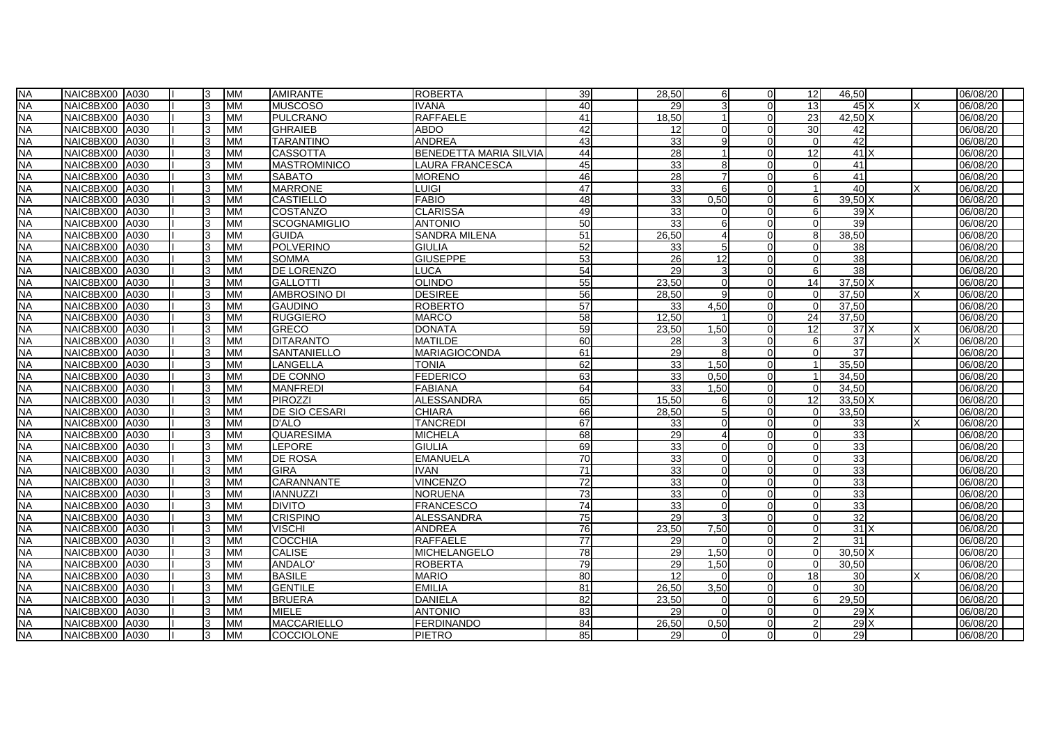| <b>NA</b> | NAIC8BX00 A030 |      | 3            | <b>IMM</b> | <b>AMIRANTE</b>      | <b>ROBERTA</b>                | 39              | 28,50 | 6              | ΩI | 12            | 46,50           |    | 06/08/20 |
|-----------|----------------|------|--------------|------------|----------------------|-------------------------------|-----------------|-------|----------------|----|---------------|-----------------|----|----------|
| <b>NA</b> | NAIC8BX00 A030 |      |              | <b>MM</b>  | <b>MUSCOSO</b>       | <b>IVANA</b>                  | 40              | 29    |                |    | 13            | $45\text{X}$    |    | 06/08/20 |
| <b>NA</b> | NAIC8BX00      | A030 |              | <b>MM</b>  | <b>PULCRANO</b>      | <b>RAFFAELE</b>               | 41              | 18,50 |                |    | 23            | 42.50           |    | 06/08/20 |
| <b>NA</b> | NAIC8BX00      | A030 | 3            | <b>MM</b>  | <b>GHRAIEB</b>       | <b>ABDO</b>                   | 42              | 12    | O              |    | 30            | 42              |    | 06/08/20 |
| <b>NA</b> | NAIC8BX00      | A030 | 3            | <b>MM</b>  | <b>TARANTINO</b>     | <b>ANDREA</b>                 | 43              | 33    | Q              |    | $\Omega$      | 42              |    | 06/08/20 |
| <b>NA</b> | NAIC8BX00 A030 |      | 3            | <b>MM</b>  | <b>CASSOTTA</b>      | <b>BENEDETTA MARIA SILVIA</b> | 44              | 28    |                |    | 12            | 41              |    | 06/08/20 |
| <b>NA</b> | NAIC8BX00      | A030 | વ            | <b>MM</b>  | <b>MASTROMINICO</b>  | LAURA FRANCESCA               | 45              | 33    | $\mathsf{R}$   |    | $\Omega$      | 41              |    | 06/08/20 |
| <b>NA</b> | NAIC8BX00      | A030 | $\mathbf{R}$ | <b>MM</b>  | <b>SABATO</b>        | <b>MORENO</b>                 | 46              | 28    |                |    | 6             | 41              |    | 06/08/20 |
| <b>NA</b> | NAIC8BX00 A030 |      |              | <b>MM</b>  | <b>MARRONE</b>       | <b>LUIGI</b>                  | 47              | 33    | հ              |    |               | 40              |    | 06/08/20 |
| <b>NA</b> | NAIC8BX00 A030 |      | З            | <b>MM</b>  | <b>CASTIELLO</b>     | <b>FABIO</b>                  | 48              | 33    | 0.50           |    | 6             | 39.50 X         |    | 06/08/20 |
| <b>NA</b> | NAIC8BX00 A030 |      | વ            | <b>IMM</b> | COSTANZO             | <b>CLARISSA</b>               | 49              | 33    | ΩI             |    | 6             | 39X             |    | 06/08/20 |
| <b>NA</b> | NAIC8BX00      | A030 | 3            | <b>MM</b>  | <b>SCOGNAMIGLIO</b>  | <b>ANTONIO</b>                | 50              | 33    | 6              |    | $\Omega$      | 39              |    | 06/08/20 |
| <b>NA</b> | NAIC8BX00 A030 |      | $\mathbf{R}$ | <b>MM</b>  | <b>GUIDA</b>         | <b>SANDRA MILENA</b>          | 51              | 26,50 |                |    | 8             | 38,50           |    | 06/08/20 |
| <b>NA</b> | NAIC8BX00      | A030 |              | <b>MM</b>  | <b>POLVERINO</b>     | GIULIA                        | 52              | 33    |                |    | $\Omega$      | 38              |    | 06/08/20 |
| <b>NA</b> | NAIC8BX00      | A030 |              | MM         | <b>SOMMA</b>         | <b>GIUSEPPE</b>               | 53              | 26    | 12             |    | $\Omega$      | 38              |    | 06/08/20 |
| <b>NA</b> | NAIC8BX00 A030 |      | 3            | <b>MM</b>  | DE LORENZO           | LUCA                          | 54              | 29    | 3              |    | 6             | 38              |    | 06/08/20 |
| <b>NA</b> | NAIC8BX00      | A030 |              | <b>MM</b>  | <b>GALLOTTI</b>      | <b>OLINDO</b>                 | 55              | 23.50 | $\Omega$       |    | 14            | 37.50           |    | 06/08/20 |
| <b>NA</b> | NAIC8BX00 A030 |      | २            | <b>MM</b>  | <b>AMBROSINO DI</b>  | <b>DESIREE</b>                | 56              | 28.50 | $\alpha$       |    | $\Omega$      | 37.50           |    | 06/08/20 |
| <b>NA</b> | NAIC8BX00 A030 |      | 3            | <b>MM</b>  | <b>GAUDINO</b>       | <b>ROBERTO</b>                | 57              | 33    | 4,50           |    | $\Omega$      | 37,50           |    | 06/08/20 |
| <b>NA</b> | NAIC8BX00      | A030 |              | <b>MM</b>  | <b>RUGGIERO</b>      | MARCO                         | 58              | 12.50 |                |    | 24            | 37,50           |    | 06/08/20 |
| <b>NA</b> | NAIC8BX00 A030 |      | з            | <b>MM</b>  | <b>GRECO</b>         | <b>DONATA</b>                 | 59              | 23.50 | 1.50           |    | 12            | 37X             | ΙX | 06/08/20 |
| <b>NA</b> | NAIC8BX00      | A030 | ٩            | <b>MM</b>  | <b>DITARANTO</b>     | <b>MATILDE</b>                | 60              | 28    | ર              |    | 6             | 37              | Ιx | 06/08/20 |
| <b>NA</b> | NAIC8BX00 A030 |      | 3            | <b>IMM</b> | <b>SANTANIELLO</b>   | <b>MARIAGIOCONDA</b>          | 61              | 29    | 8I             |    | $\Omega$      | 37              |    | 06/08/20 |
| <b>NA</b> | NAIC8BX00      | A030 |              | <b>MM</b>  | LANGELLA             | TONIA                         | 62              | 33    | 1,50           |    |               | 35,50           |    | 06/08/20 |
| <b>NA</b> | NAIC8BX00 A030 |      |              | <b>MM</b>  | DE CONNO             | <b>FEDERICO</b>               | 63              | 33    | 0.50           |    |               | 34,50           |    | 06/08/20 |
| <b>NA</b> | NAIC8BX00 A030 |      | 3            | <b>MM</b>  | <b>MANFREDI</b>      | <b>FABIANA</b>                | 64              | 33    | 1,50           |    | O             | 34,50           |    | 06/08/20 |
| <b>NA</b> | NAIC8BX00      | A030 | વ            | <b>MM</b>  | PIROZZI              | <b>ALESSANDRA</b>             | 65              | 15.50 | 6              |    | 12            | 33.50 X         |    | 06/08/20 |
| <b>NA</b> | NAIC8BX00      | A030 | 3            | <b>MM</b>  | <b>DE SIO CESARI</b> | <b>CHIARA</b>                 | 66              | 28,50 | 5 <sup>1</sup> |    | $\Omega$      | 33,50           |    | 06/08/20 |
| <b>NA</b> | NAIC8BX00 A030 |      |              | <b>MM</b>  | D'ALO                | <b>TANCREDI</b>               | 67              | 33    | $\Omega$       |    | $\Omega$      | 33              |    | 06/08/20 |
| <b>NA</b> | NAIC8BX00 A030 |      | 3            | <b>MM</b>  | QUARESIMA            | MICHELA                       | 68              | 29    |                |    |               | 33              |    | 06/08/20 |
| <b>NA</b> | NAIC8BX00      | A030 |              | MM         | <b>LEPORE</b>        | GIULIA                        | 69              | 33    | U              |    | ∩             | 33              |    | 06/08/20 |
| <b>NA</b> | NAIC8BX00      | A030 | ٩            | <b>MM</b>  | <b>DE ROSA</b>       | <b>EMANUELA</b>               | 70              | 33    | $\Omega$       |    | ∩             | 33              |    | 06/08/20 |
| <b>NA</b> | NAIC8BX00 A030 |      | ٩            | <b>MM</b>  | <b>GIRA</b>          | <b>IVAN</b>                   | $\overline{71}$ | 33    | $\Omega$       |    | $\Omega$      | 33              |    | 06/08/20 |
| <b>NA</b> | NAIC8BX00      | A030 | ٩            | <b>MM</b>  | CARANNANTE           | <b>VINCENZO</b>               | 72              | 33    | $\Omega$       |    | $\Omega$      | 33              |    | 06/08/20 |
| <b>NA</b> | NAIC8BX00      | A030 | २            | <b>MM</b>  | <b>IANNUZZI</b>      | <b>NORUENA</b>                | $\overline{73}$ | 33    | $\Omega$       |    | $\Omega$      | 33              |    | 06/08/20 |
| <b>NA</b> | NAIC8BX00 A030 |      |              | <b>MM</b>  | <b>DIVITO</b>        | <b>FRANCESCO</b>              | 74              | 33    | $\Omega$       |    | $\Omega$      | 33              |    | 06/08/20 |
| <b>NA</b> | NAIC8BX00      | A030 | З            | <b>MM</b>  | <b>CRISPINO</b>      | <b>ALESSANDRA</b>             | $\overline{75}$ | 29    |                |    | $\Omega$      | 32              |    | 06/08/20 |
| <b>NA</b> | NAIC8BX00 A030 |      | વ            | <b>MM</b>  | <b>VISCHI</b>        | <b>ANDREA</b>                 | $\overline{76}$ | 23.50 | 7,50           |    | $\Omega$      | $\overline{31}$ |    | 06/08/20 |
| <b>NA</b> | NAIC8BX00      | A030 | З            | <b>MM</b>  | <b>COCCHIA</b>       | <b>RAFFAELE</b>               | $\overline{77}$ | 29    | $\Omega$       |    | $\mathcal{P}$ | 31              |    | 06/08/20 |
| <b>NA</b> | NAIC8BX00 A030 |      | 3            | <b>MM</b>  | <b>CALISE</b>        | MICHELANGELO                  | $\overline{78}$ | 29    | 1,50           |    | $\Omega$      | 30,50           |    | 06/08/20 |
| <b>NA</b> | NAIC8BX00      | A030 |              | <b>MM</b>  | <b>ANDALO</b>        | <b>ROBERTA</b>                | 79              | 29    | 1.50           |    | $\Omega$      | 30.50           |    | 06/08/20 |
| <b>NA</b> | NAIC8BX00      | A030 |              | <b>MM</b>  | <b>BASILE</b>        | <b>MARIO</b>                  | 80              | 12    | U              |    | 18            | 30              | ΙX | 06/08/20 |
| <b>NA</b> | NAIC8BX00 A030 |      | વ            | <b>MM</b>  | <b>GENTILE</b>       | <b>EMILIA</b>                 | 81              | 26.50 | 3.50           |    | $\Omega$      | 30              |    | 06/08/20 |
| <b>NA</b> | NAIC8BX00      | A030 |              | <b>MM</b>  | <b>BRUERA</b>        | <b>DANIELA</b>                | 82              | 23,50 | $\Omega$       |    | 6             | 29,50           |    | 06/08/20 |
| <b>NA</b> | NAIC8BX00 A030 |      | વ            | <b>MM</b>  | <b>MIELE</b>         | <b>ANTONIO</b>                | 83              | 29    | $\Omega$       |    | $\Omega$      | 29)             |    | 06/08/20 |
| <b>NA</b> | NAIC8BX00 A030 |      |              | <b>MM</b>  | <b>MACCARIELLO</b>   | <b>FERDINANDO</b>             | 84              | 26,50 | 0.50           |    |               | 29X             |    | 06/08/20 |
| <b>NA</b> | NAIC8BX00 A030 |      | 3            | <b>MM</b>  | COCCIOLONE           | <b>PIETRO</b>                 | 85              | 29    | $\Omega$       |    | $\Omega$      | 29              |    | 06/08/20 |